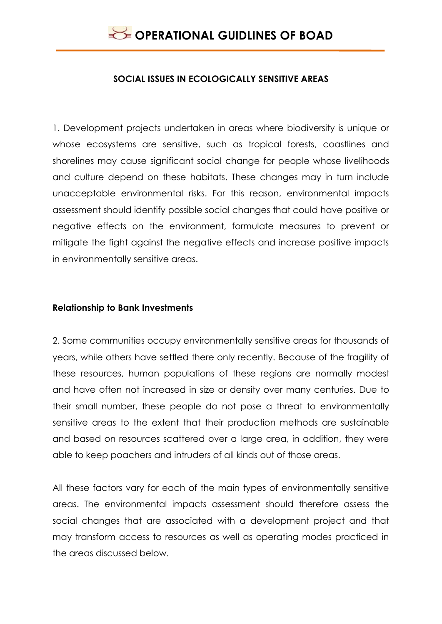

#### **SOCIAL ISSUES IN ECOLOGICALLY SENSITIVE AREAS**

1. Development projects undertaken in areas where biodiversity is unique or whose ecosystems are sensitive, such as tropical forests, coastlines and shorelines may cause significant social change for people whose livelihoods and culture depend on these habitats. These changes may in turn include unacceptable environmental risks. For this reason, environmental impacts assessment should identify possible social changes that could have positive or negative effects on the environment, formulate measures to prevent or mitigate the fight against the negative effects and increase positive impacts in environmentally sensitive areas.

#### **Relationship to Bank Investments**

2. Some communities occupy environmentally sensitive areas for thousands of years, while others have settled there only recently. Because of the fragility of these resources, human populations of these regions are normally modest and have often not increased in size or density over many centuries. Due to their small number, these people do not pose a threat to environmentally sensitive areas to the extent that their production methods are sustainable and based on resources scattered over a large area, in addition, they were able to keep poachers and intruders of all kinds out of those areas.

All these factors vary for each of the main types of environmentally sensitive areas. The environmental impacts assessment should therefore assess the social changes that are associated with a development project and that may transform access to resources as well as operating modes practiced in the areas discussed below.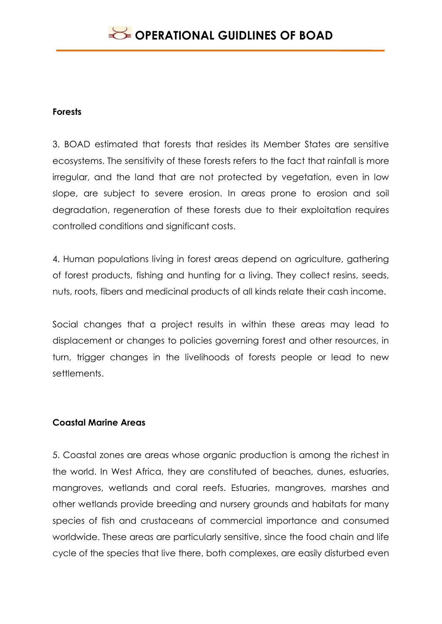### **Forests**

3. BOAD estimated that forests that resides its Member States are sensitive ecosystems. The sensitivity of these forests refers to the fact that rainfall is more irregular, and the land that are not protected by vegetation, even in low slope, are subject to severe erosion. In areas prone to erosion and soil degradation, regeneration of these forests due to their exploitation requires controlled conditions and significant costs.

4. Human populations living in forest areas depend on agriculture, gathering of forest products, fishing and hunting for a living. They collect resins, seeds, nuts, roots, fibers and medicinal products of all kinds relate their cash income.

Social changes that a project results in within these areas may lead to displacement or changes to policies governing forest and other resources, in turn, trigger changes in the livelihoods of forests people or lead to new settlements.

### **Coastal Marine Areas**

5. Coastal zones are areas whose organic production is among the richest in the world. In West Africa, they are constituted of beaches, dunes, estuaries, mangroves, wetlands and coral reefs. Estuaries, mangroves, marshes and other wetlands provide breeding and nursery grounds and habitats for many species of fish and crustaceans of commercial importance and consumed worldwide. These areas are particularly sensitive, since the food chain and life cycle of the species that live there, both complexes, are easily disturbed even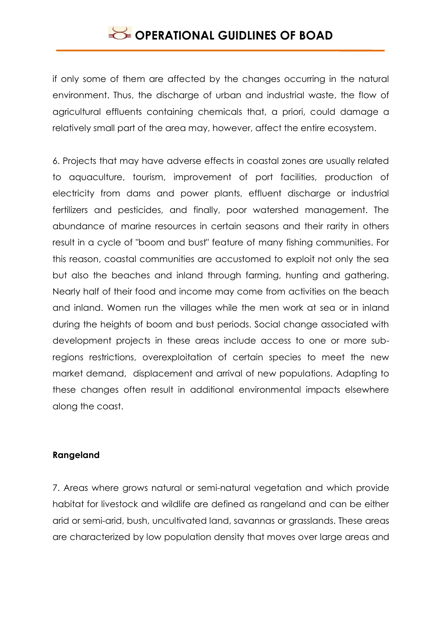# **OPERATIONAL GUIDLINES OF BOAD**

if only some of them are affected by the changes occurring in the natural environment. Thus, the discharge of urban and industrial waste, the flow of agricultural effluents containing chemicals that, a priori, could damage a relatively small part of the area may, however, affect the entire ecosystem.

6. Projects that may have adverse effects in coastal zones are usually related to aquaculture, tourism, improvement of port facilities, production of electricity from dams and power plants, effluent discharge or industrial fertilizers and pesticides, and finally, poor watershed management. The abundance of marine resources in certain seasons and their rarity in others result in a cycle of "boom and bust" feature of many fishing communities. For this reason, coastal communities are accustomed to exploit not only the sea but also the beaches and inland through farming, hunting and gathering. Nearly half of their food and income may come from activities on the beach and inland. Women run the villages while the men work at sea or in inland during the heights of boom and bust periods. Social change associated with development projects in these areas include access to one or more subregions restrictions, overexploitation of certain species to meet the new market demand, displacement and arrival of new populations. Adapting to these changes often result in additional environmental impacts elsewhere along the coast.

### **Rangeland**

7. Areas where grows natural or semi-natural vegetation and which provide habitat for livestock and wildlife are defined as rangeland and can be either arid or semi-arid, bush, uncultivated land, savannas or grasslands. These areas are characterized by low population density that moves over large areas and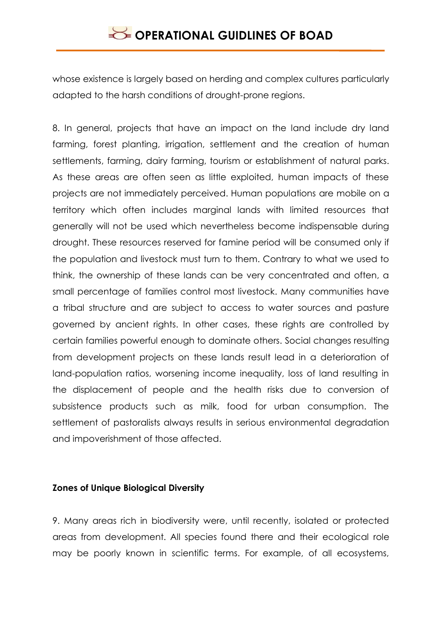whose existence is largely based on herding and complex cultures particularly adapted to the harsh conditions of drought-prone regions.

8. In general, projects that have an impact on the land include dry land farming, forest planting, irrigation, settlement and the creation of human settlements, farming, dairy farming, tourism or establishment of natural parks. As these areas are often seen as little exploited, human impacts of these projects are not immediately perceived. Human populations are mobile on a territory which often includes marginal lands with limited resources that generally will not be used which nevertheless become indispensable during drought. These resources reserved for famine period will be consumed only if the population and livestock must turn to them. Contrary to what we used to think, the ownership of these lands can be very concentrated and often, a small percentage of families control most livestock. Many communities have a tribal structure and are subject to access to water sources and pasture governed by ancient rights. In other cases, these rights are controlled by certain families powerful enough to dominate others. Social changes resulting from development projects on these lands result lead in a deterioration of land-population ratios, worsening income inequality, loss of land resulting in the displacement of people and the health risks due to conversion of subsistence products such as milk, food for urban consumption. The settlement of pastoralists always results in serious environmental degradation and impoverishment of those affected.

#### **Zones of Unique Biological Diversity**

9. Many areas rich in biodiversity were, until recently, isolated or protected areas from development. All species found there and their ecological role may be poorly known in scientific terms. For example, of all ecosystems,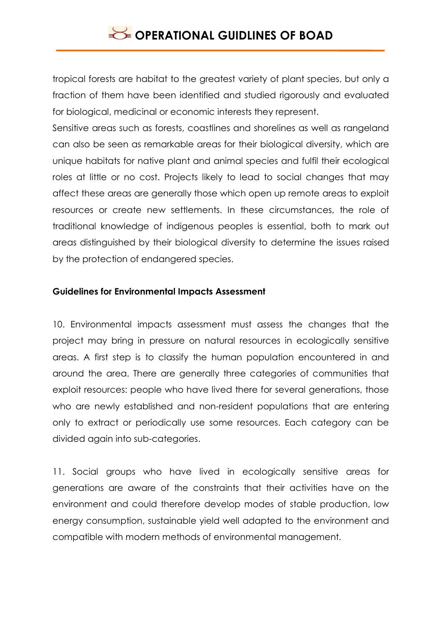tropical forests are habitat to the greatest variety of plant species, but only a fraction of them have been identified and studied rigorously and evaluated for biological, medicinal or economic interests they represent.

Sensitive areas such as forests, coastlines and shorelines as well as rangeland can also be seen as remarkable areas for their biological diversity, which are unique habitats for native plant and animal species and fulfil their ecological roles at little or no cost. Projects likely to lead to social changes that may affect these areas are generally those which open up remote areas to exploit resources or create new settlements. In these circumstances, the role of traditional knowledge of indigenous peoples is essential, both to mark out areas distinguished by their biological diversity to determine the issues raised by the protection of endangered species.

### **Guidelines for Environmental Impacts Assessment**

10. Environmental impacts assessment must assess the changes that the project may bring in pressure on natural resources in ecologically sensitive areas. A first step is to classify the human population encountered in and around the area. There are generally three categories of communities that exploit resources: people who have lived there for several generations, those who are newly established and non-resident populations that are entering only to extract or periodically use some resources. Each category can be divided again into sub-categories.

11. Social groups who have lived in ecologically sensitive areas for generations are aware of the constraints that their activities have on the environment and could therefore develop modes of stable production, low energy consumption, sustainable yield well adapted to the environment and compatible with modern methods of environmental management.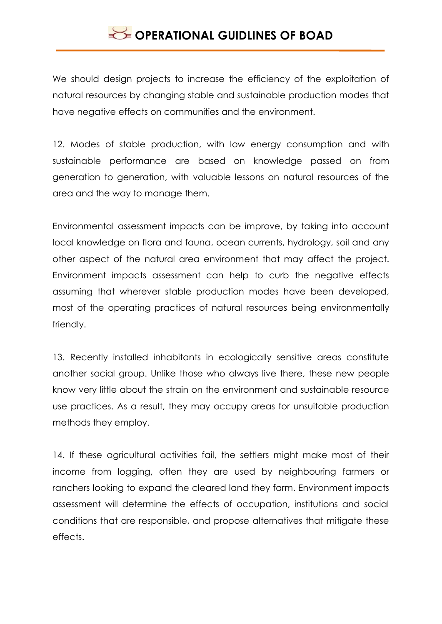# **OPERATIONAL GUIDLINES OF BOAD**

We should design projects to increase the efficiency of the exploitation of natural resources by changing stable and sustainable production modes that have negative effects on communities and the environment.

12. Modes of stable production, with low energy consumption and with sustainable performance are based on knowledge passed on from generation to generation, with valuable lessons on natural resources of the area and the way to manage them.

Environmental assessment impacts can be improve, by taking into account local knowledge on flora and fauna, ocean currents, hydrology, soil and any other aspect of the natural area environment that may affect the project. Environment impacts assessment can help to curb the negative effects assuming that wherever stable production modes have been developed, most of the operating practices of natural resources being environmentally friendly.

13. Recently installed inhabitants in ecologically sensitive areas constitute another social group. Unlike those who always live there, these new people know very little about the strain on the environment and sustainable resource use practices. As a result, they may occupy areas for unsuitable production methods they employ.

14. If these agricultural activities fail, the settlers might make most of their income from logging, often they are used by neighbouring farmers or ranchers looking to expand the cleared land they farm. Environment impacts assessment will determine the effects of occupation, institutions and social conditions that are responsible, and propose alternatives that mitigate these effects.